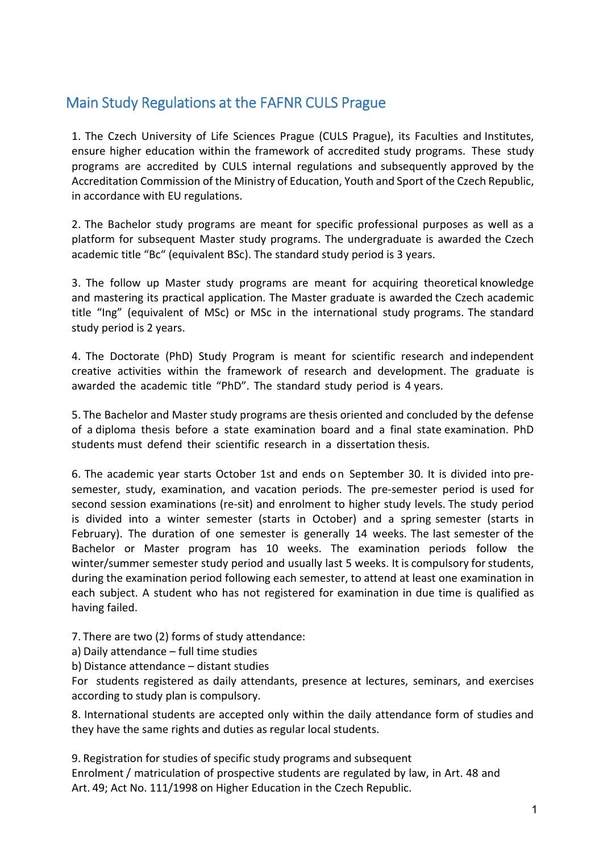## Main Study Regulations at the FAFNR CULS Prague

1. The Czech University of Life Sciences Prague (CULS Prague), its Faculties and Institutes, ensure higher education within the framework of accredited study programs. These study programs are accredited by CULS internal regulations and subsequently approved by the Accreditation Commission of the Ministry of Education, Youth and Sport of the Czech Republic, in accordance with EU regulations.

2. The Bachelor study programs are meant for specific professional purposes as well as a platform for subsequent Master study programs. The undergraduate is awarded the Czech academic title "Bc" (equivalent BSc). The standard study period is 3 years.

3. The follow up Master study programs are meant for acquiring theoretical knowledge and mastering its practical application. The Master graduate is awarded the Czech academic title "Ing" (equivalent of MSc) or MSc in the international study programs. The standard study period is 2 years.

4. The Doctorate (PhD) Study Program is meant for scientific research and independent creative activities within the framework of research and development. The graduate is awarded the academic title "PhD". The standard study period is 4 years.

5. The Bachelor and Master study programs are thesis oriented and concluded by the defense of a diploma thesis before a state examination board and a final state examination. PhD students must defend their scientific research in a dissertation thesis.

6. The academic year starts October 1st and ends on September 30. It is divided into presemester, study, examination, and vacation periods. The pre-semester period is used for second session examinations (re-sit) and enrolment to higher study levels. The study period is divided into a winter semester (starts in October) and a spring semester (starts in February). The duration of one semester is generally 14 weeks. The last semester of the Bachelor or Master program has 10 weeks. The examination periods follow the winter/summer semester study period and usually last 5 weeks. It is compulsory for students, during the examination period following each semester, to attend at least one examination in each subject. A student who has not registered for examination in due time is qualified as having failed.

7. There are two (2) forms of study attendance:

a) Daily attendance – full time studies

b) Distance attendance – distant studies

For students registered as daily attendants, presence at lectures, seminars, and exercises according to study plan is compulsory.

8. International students are accepted only within the daily attendance form of studies and they have the same rights and duties as regular local students.

9. Registration for studies of specific study programs and subsequent Enrolment / matriculation of prospective students are regulated by law, in Art. 48 and Art. 49; Act No. 111/1998 on Higher Education in the Czech Republic.